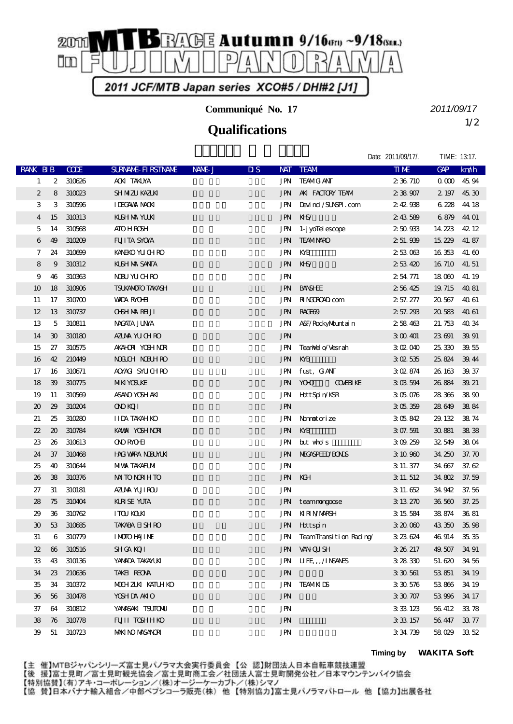

**Communiqué No. 17**

## 1/2 **Qualifications**

*2011/09/17*

Date: 2011/09/17/. TIME: 13:17.

| RANK BIB                    |                             | <b>COE</b> | <b>SURVANE FI RSTIVANE</b> | NAME-J | $\overline{\mathbf{u}}$ s | <b>NAT</b> | <b>TEAM</b>                   | TIME     | <b>GAP</b>      | km/h             |
|-----------------------------|-----------------------------|------------|----------------------------|--------|---------------------------|------------|-------------------------------|----------|-----------------|------------------|
| $\mathbf{1}$                | 2                           | 310626     | <b>ACKI TAKLYA</b>         |        |                           | JPN        | <b>TEAMG ANT</b>              | 2 36 710 | 0 <sub>00</sub> | 45.94            |
| 2                           | 8                           | 310023     | <b>SH NIZU KAZLKI</b>      |        |                           | JPN        | AKI FACTORY TEAM              | 238907   | 2 197           | 45.30            |
| 3                           | 3                           | 310596     | <b>IDEGAVAX NACKI</b>      |        |                           | JPN        | Devinci/SUNSPI.com            | 242938   | 6228            | 44 18            |
| 4                           | 15                          | 310313     | KISH NA YUKI               |        |                           | JPN        | KHS/                          | 243589   | 6879            | 44 01            |
| 5                           | 14                          | 310568     | <b>ATO HROSH</b>           |        |                           | JPN        | 1-j yoTel escope              | 250933   | 14 223          | 42 12            |
| 6                           | 49                          | 310209     | <b>FUITA SYOYA</b>         |        |                           | JPN        | <b>TEAMNARO</b>               | 2 51.939 | 15 229          | 41.87            |
| 7                           | 24                          | 310699     | KANEKO YU CHRO             |        |                           | JPN        | KYB                           | 253063   | 16 353          | 41.60            |
| 8                           | 9                           | 310312     | KISH NA SANTA              |        |                           | <b>JPN</b> | $K\rightarrow K$              | 253420   | 16 710          | 41.51            |
| 9                           | 46                          | 310363     | <b>NBU YUCHRO</b>          |        |                           | <b>JPN</b> |                               | 254771   | 18000           | 41.19            |
| 10                          | 18                          | 310906     | <b>TSUKANOTO TAKASH</b>    |        |                           | JPN        | <b>BANSHEE</b>                | 256425   | 19 715          | 4081             |
| 11                          | 17                          | 310700     | <b>WADA RYOHI</b>          |        |                           | JPN        | <b>NINONO</b> com             | 2 57.277 | 20.567          | 4061             |
| 12                          | 13                          | 310737     | <b>OBHMRHJI</b>            |        |                           | JPN        | RACEB <sub>9</sub>            | 2 57.293 | 20583           | 4061             |
| 13                          | 5                           | 310811     | <b>NACATA JUNA</b>         |        |                           | JPN        | A&F/RockyMountain             | 258463   | 21.753          | 4034             |
| 14                          | $\boldsymbol{\mathfrak{D}}$ | 310180     | AZUMA YUCHRO               |        |                           | <b>JPN</b> |                               | 3 00 401 | 23 691          | 39.91            |
| 15                          | 27                          | 310575     | AKAHORI YOSHINORI          |        |                           | JPN        | TeanNel o/Vesrah              | 302040   | 25 330          | 39.55            |
| 16                          | 42                          | 210449     | <b>NOUCH NEUHRO</b>        |        |                           | <b>JPN</b> | KYB                           | 3 O 2535 | 25.824          | 39.44            |
| 17                          | 16                          | 310671     | AOXACI SYLICH RO           |        |                           | JPN        | fust, GANT                    | 3 02 874 | 26 163          | 39.37            |
| 18                          | 39                          | 310775     | <b>MIKI YOSUKE</b>         |        |                           | JPN        | <b>YOHO</b><br><b>COVERIE</b> | 303594   | 26 884          | 39.21            |
| 19                          | 11                          | 310569     | ASANO YOSH AKI             |        |                           | JPN        | Hott Spin/KSR                 | 305076   | 28 366          | 3890             |
| $\boldsymbol{\mathfrak{D}}$ | 29                          | 310204     | <b>ONDI</b>                |        |                           | <b>JPN</b> |                               | 305359   | 28649           | 3884             |
| 21                          | 25                          | 310280     | <b>IIDA TAKAH KO</b>       |        |                           | JPN        | Normotorize                   | 305842   | 29. 132         | 3874             |
| 22                          | 20                          | 310784     | KAWAN YOSH NOR             |        |                           | <b>JPN</b> | KYB                           | 3 07.591 | 30881           | 3838             |
| 23                          | 26                          | 310613     | <b>ONO RYOHI</b>           |        |                           | JPN        | but who's                     | 309259   | 32.549          | 38 <sub>04</sub> |
| 24                          | 37                          | 310468     | <b>HACI VARA NOBUMUKI</b>  |        |                           | JPN        | <b>NECASPEED BONS</b>         | 3 10 960 | 34 250          | 37.70            |
| 25                          | 40                          | 310644     | <b>MIVA TAKAFUMI</b>       |        |                           | <b>JPN</b> |                               | 3 11 377 | 34 667          | 37.62            |
| 26                          | 38                          | 310376     | <b>NATO NORH TO</b>        |        |                           | JPN KGH    |                               | 3 11 512 | 34 SO2          | 37.59            |
| 27                          | 31                          | 310181     | AZIMA YUJIROU              |        |                           | <b>JPN</b> |                               | 3 11 652 | 34.942          | 37.56            |
| 28                          | 75                          | 310404     | <b>KIRSE YUTA</b>          |        |                           | JPN        | teamnongoose                  | 3 13 270 | 36 560          | 37.25            |
| 29                          | 36                          | 310762     | <b>ITOU KOUN</b>           |        |                           | JPN        | <b>KIRIN MARSH</b>            | 3 15 584 | 38 874          | 36.81            |
| $\mathbf{E}$                | 53                          | 310685     | <b>TAKABA EI SH RO</b>     |        |                           | JPN        | Hottspin                      | 3 20 000 | 43 350          | 35.98            |
| 31                          | 6                           | 310779     | <b>IMOIO HAJIME</b>        |        |                           | JPN        | TeamTransition Racing         | 323624   | 46 914          | 35.35            |
| 32                          | $\boldsymbol{\omega}$       | 310516     | <b>SHGA KOTI</b>           |        |                           | <b>JPN</b> | <b>VAN QUISH</b>              | 3 26 217 | 49.507          | 34 91            |
| 33                          | 43                          | 310136     | YANADA TAKAYUKI            |        |                           | JPN        | IIFE, AINSAVES                | 3 28 330 | 51.620          | 34 56            |
| 34                          | 23                          | 210636     | TAKEL REONA                |        |                           | <b>JPN</b> |                               | 3 30 561 | 53851           | 34 19            |
| 35                          | 34                          | 310372     | MOHZM KATUHKO              |        |                           | <b>JPN</b> | <b>TEAMKIDS</b>               | 3 30 576 | 53866           | 34 19            |
| 36                          | 56                          | 310478     | <b>YOSHDA AKIO</b>         |        |                           | <b>JPN</b> |                               | 3 30 707 | 53996           | 34 17            |
| 37                          | 64                          | 310812     | YANASAKI TSUTONU           |        |                           | <b>JPN</b> |                               | 3 33 123 | 56 412          | 3378             |
| 38                          | 76                          | 310778     | FUJI TOSHHKO               |        |                           | <b>JPN</b> |                               | 3 33 157 | 56 447          | 3377             |
| 39                          | 51                          | 310723     | <b>MAKINO MASANORI</b>     |        |                           | <b>JPN</b> |                               | 334739   | 58029           | 33.52            |

**Timing by** *WAKITA Soft*

【主 催】MTBジャパンシリーズ富士見パノラマ大会実行委員会【公 認】財団法人日本自転車競技連盟

【後 援】富士見町/富士見町観光協会/富士見町商工会/社団法人富士見町開発公社/日本マウンテンバイク協会